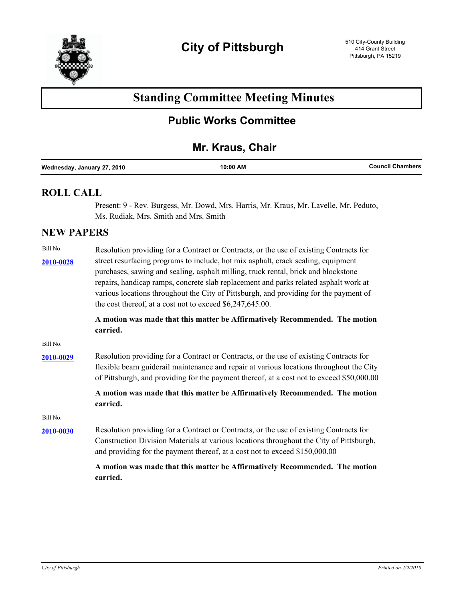

# **Standing Committee Meeting Minutes**

## **Public Works Committee**

### **Mr. Kraus, Chair**

|--|

#### **ROLL CALL**

Present: 9 - Rev. Burgess, Mr. Dowd, Mrs. Harris, Mr. Kraus, Mr. Lavelle, Mr. Peduto, Ms. Rudiak, Mrs. Smith and Mrs. Smith

#### **NEW PAPERS**

| Bill No.  | Resolution providing for a Contract or Contracts, or the use of existing Contracts for    |
|-----------|-------------------------------------------------------------------------------------------|
| 2010-0028 | street resurfacing programs to include, hot mix asphalt, crack sealing, equipment         |
|           | purchases, sawing and sealing, asphalt milling, truck rental, brick and blockstone        |
|           | repairs, handicap ramps, concrete slab replacement and parks related asphalt work at      |
|           | various locations throughout the City of Pittsburgh, and providing for the payment of     |
|           | the cost thereof, at a cost not to exceed \$6,247,645.00.                                 |
|           | A motion was made that this matter be Affirmatively Recommended. The motion               |
|           | carried.                                                                                  |
| Bill No.  |                                                                                           |
| 2010-0029 | Resolution providing for a Contract or Contracts, or the use of existing Contracts for    |
|           | flexible beam guiderail maintenance and repair at various locations throughout the City   |
|           | of Pittsburgh, and providing for the payment thereof, at a cost not to exceed \$50,000.00 |
|           | A motion was made that this matter be Affirmatively Recommended. The motion               |
|           | carried.                                                                                  |
| Bill No.  |                                                                                           |
| 2010-0030 | Resolution providing for a Contract or Contracts, or the use of existing Contracts for    |
|           | Construction Division Materials at various locations throughout the City of Pittsburgh,   |
|           | and providing for the payment thereof, at a cost not to exceed \$150,000.00               |
|           | A motion was made that this matter be Affirmatively Recommended. The motion               |
|           | carried.                                                                                  |
|           |                                                                                           |